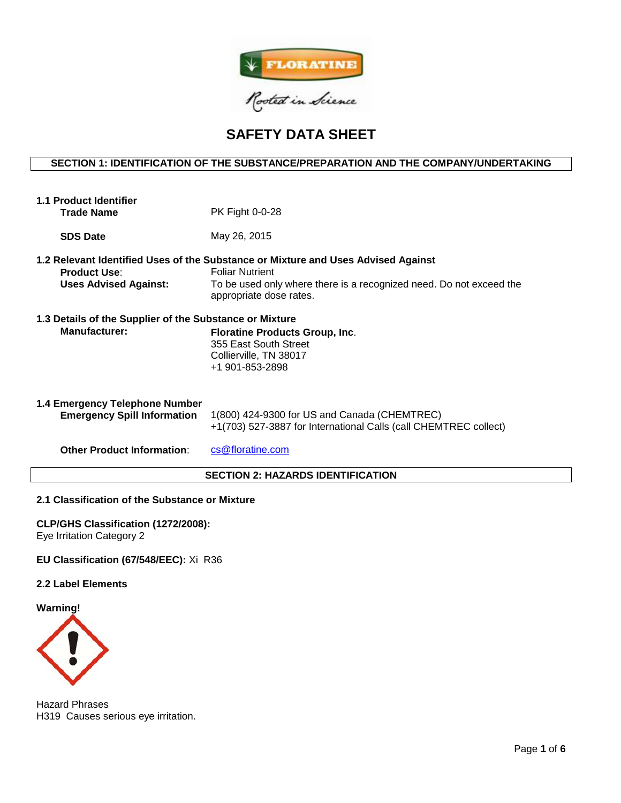

# **SAFETY DATA SHEET**

# **SECTION 1: IDENTIFICATION OF THE SUBSTANCE/PREPARATION AND THE COMPANY/UNDERTAKING**

| 1.1 Product Identifier<br><b>Trade Name</b>                              | PK Fight 0-0-28                                                                                                                                                                                               |  |  |
|--------------------------------------------------------------------------|---------------------------------------------------------------------------------------------------------------------------------------------------------------------------------------------------------------|--|--|
| <b>SDS Date</b>                                                          | May 26, 2015                                                                                                                                                                                                  |  |  |
| <b>Product Use:</b><br><b>Uses Advised Against:</b>                      | 1.2 Relevant Identified Uses of the Substance or Mixture and Uses Advised Against<br><b>Foliar Nutrient</b><br>To be used only where there is a recognized need. Do not exceed the<br>appropriate dose rates. |  |  |
| 1.3 Details of the Supplier of the Substance or Mixture<br>Manufacturer: | <b>Floratine Products Group, Inc.</b><br>355 East South Street<br>Collierville, TN 38017<br>+1 901-853-2898                                                                                                   |  |  |
| 1.4 Emergency Telephone Number<br><b>Emergency Spill Information</b>     | 1(800) 424-9300 for US and Canada (CHEMTREC)<br>+1(703) 527-3887 for International Calls (call CHEMTREC collect)                                                                                              |  |  |
| <b>Other Product Information:</b>                                        | cs@floratine.com                                                                                                                                                                                              |  |  |
| <b>SECTION 2: HAZARDS IDENTIFICATION</b>                                 |                                                                                                                                                                                                               |  |  |

## **2.1 Classification of the Substance or Mixture**

**CLP/GHS Classification (1272/2008):** Eye Irritation Category 2

# **EU Classification (67/548/EEC):** Xi R36

#### **2.2 Label Elements**

**Warning!**



Hazard Phrases H319 Causes serious eye irritation.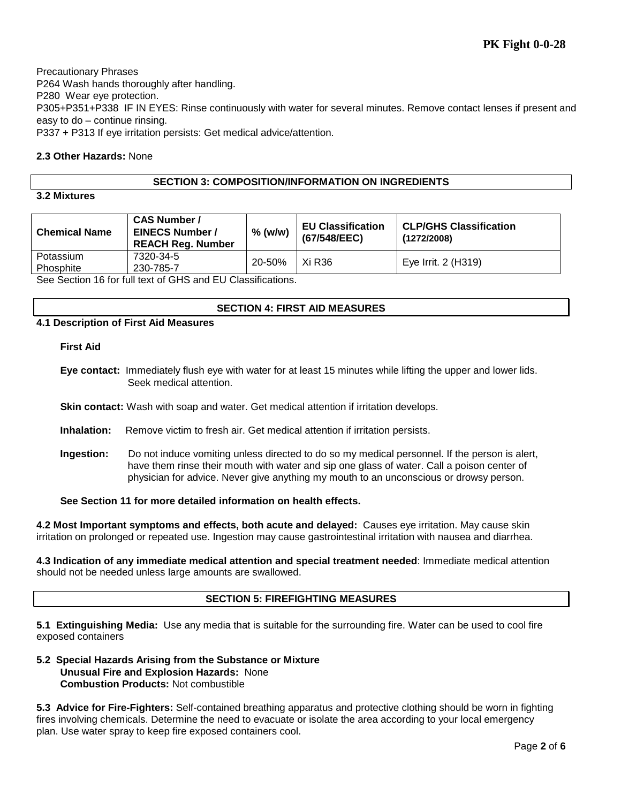Precautionary Phrases P264 Wash hands thoroughly after handling. P280 Wear eye protection. P305+P351+P338 IF IN EYES: Rinse continuously with water for several minutes. Remove contact lenses if present and easy to do – continue rinsing. P337 + P313 If eye irritation persists: Get medical advice/attention.

# **2.3 Other Hazards:** None

## **SECTION 3: COMPOSITION/INFORMATION ON INGREDIENTS**

## **3.2 Mixtures**

| <b>Chemical Name</b> | <b>CAS Number /</b><br><b>EINECS Number /</b><br><b>REACH Reg. Number</b> | $%$ (w/w) | <b>EU Classification</b><br>(67/548/EEC) | <b>CLP/GHS Classification</b><br>(1272/2008) |
|----------------------|---------------------------------------------------------------------------|-----------|------------------------------------------|----------------------------------------------|
| Potassium            | 7320-34-5                                                                 | 20-50%    | Xi R36                                   | Eye Irrit. 2 (H319)                          |
| Phosphite            | 230-785-7<br>Can Continue 4C for full tout of CUC and EU Close if sotions |           |                                          |                                              |

See Section 16 for full text of GHS and EU Classifications.

## **SECTION 4: FIRST AID MEASURES**

## **4.1 Description of First Aid Measures**

## **First Aid**

- **Eye contact:** Immediately flush eye with water for at least 15 minutes while lifting the upper and lower lids. Seek medical attention.
- **Skin contact:** Wash with soap and water. Get medical attention if irritation develops.
- **Inhalation:** Remove victim to fresh air. Get medical attention if irritation persists.
- **Ingestion:** Do not induce vomiting unless directed to do so my medical personnel. If the person is alert, have them rinse their mouth with water and sip one glass of water. Call a poison center of physician for advice. Never give anything my mouth to an unconscious or drowsy person.

**See Section 11 for more detailed information on health effects.**

**4.2 Most Important symptoms and effects, both acute and delayed:** Causes eye irritation. May cause skin irritation on prolonged or repeated use. Ingestion may cause gastrointestinal irritation with nausea and diarrhea.

**4.3 Indication of any immediate medical attention and special treatment needed**: Immediate medical attention should not be needed unless large amounts are swallowed.

## **SECTION 5: FIREFIGHTING MEASURES**

**5.1 Extinguishing Media:** Use any media that is suitable for the surrounding fire. Water can be used to cool fire exposed containers

**5.2 Special Hazards Arising from the Substance or Mixture Unusual Fire and Explosion Hazards:** None **Combustion Products:** Not combustible

**5.3 Advice for Fire-Fighters:** Self-contained breathing apparatus and protective clothing should be worn in fighting fires involving chemicals. Determine the need to evacuate or isolate the area according to your local emergency plan. Use water spray to keep fire exposed containers cool.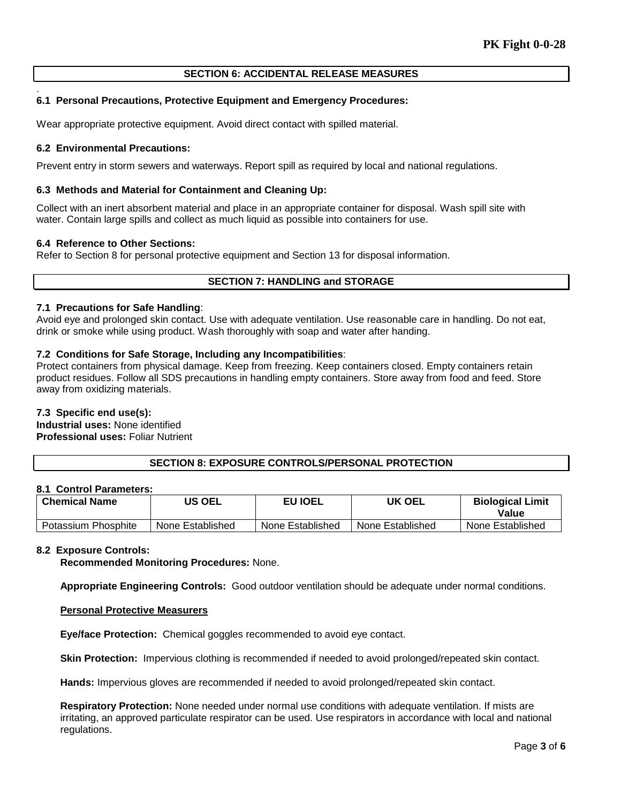# **SECTION 6: ACCIDENTAL RELEASE MEASURES**

## **6.1 Personal Precautions, Protective Equipment and Emergency Procedures:**

Wear appropriate protective equipment. Avoid direct contact with spilled material.

#### **6.2 Environmental Precautions:**

.

Prevent entry in storm sewers and waterways. Report spill as required by local and national regulations.

#### **6.3 Methods and Material for Containment and Cleaning Up:**

Collect with an inert absorbent material and place in an appropriate container for disposal. Wash spill site with water. Contain large spills and collect as much liquid as possible into containers for use.

#### **6.4 Reference to Other Sections:**

Refer to Section 8 for personal protective equipment and Section 13 for disposal information.

#### **SECTION 7: HANDLING and STORAGE**

#### **7.1 Precautions for Safe Handling**:

Avoid eye and prolonged skin contact. Use with adequate ventilation. Use reasonable care in handling. Do not eat, drink or smoke while using product. Wash thoroughly with soap and water after handing.

#### **7.2 Conditions for Safe Storage, Including any Incompatibilities**:

Protect containers from physical damage. Keep from freezing. Keep containers closed. Empty containers retain product residues. Follow all SDS precautions in handling empty containers. Store away from food and feed. Store away from oxidizing materials.

#### **7.3 Specific end use(s):**

**Industrial uses:** None identified **Professional uses:** Foliar Nutrient

# **SECTION 8: EXPOSURE CONTROLS/PERSONAL PROTECTION**

#### **8.1 Control Parameters:**

| <b>Chemical Name</b> | US OEL           | <b>EU IOEL</b>   | UK OEL           | <b>Biological Limit</b><br>Value |
|----------------------|------------------|------------------|------------------|----------------------------------|
| Potassium Phosphite  | None Established | None Established | None Established | None Established                 |

#### **8.2 Exposure Controls:**

**Recommended Monitoring Procedures:** None.

**Appropriate Engineering Controls:** Good outdoor ventilation should be adequate under normal conditions.

#### **Personal Protective Measurers**

**Eye/face Protection:** Chemical goggles recommended to avoid eye contact.

**Skin Protection:** Impervious clothing is recommended if needed to avoid prolonged/repeated skin contact.

**Hands:** Impervious gloves are recommended if needed to avoid prolonged/repeated skin contact.

**Respiratory Protection:** None needed under normal use conditions with adequate ventilation. If mists are irritating, an approved particulate respirator can be used. Use respirators in accordance with local and national regulations.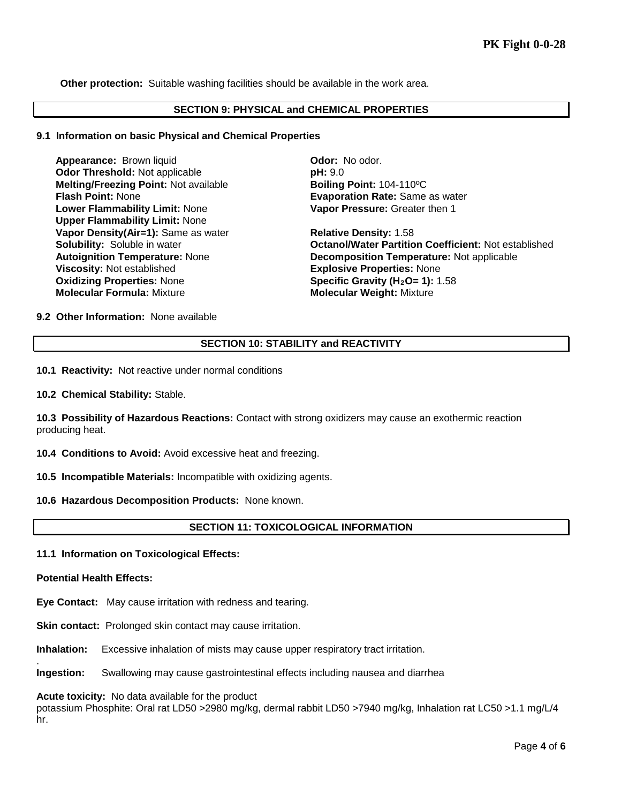**Other protection:** Suitable washing facilities should be available in the work area.

#### **SECTION 9: PHYSICAL and CHEMICAL PROPERTIES**

#### **9.1 Information on basic Physical and Chemical Properties**

**Appearance:** Brown liquid **Connective Connective Connective Connective Connective Connective Connective Connective Connective Connective Connective Connective Connective Connective Connective Connective Connective Connect Odor Threshold: Not applicable Melting/Freezing Point:** Not available **Boiling Point:** 104-110ºC **Flash Point:** None **Evaporation Rate:** Same as water **Lower Flammability Limit:** None **Upper Flammability Limit:** None **Vapor Density(Air=1):** Same as water **Relative Density: 1.58**<br> **Solubility:** Soluble in water **Relative Bolubility: Solubility: Soluble in water Viscosity:** Not established **Explosive Properties:** None **Oxidizing Properties:** None **Specific Gravity (H<sub>2</sub>O= 1):** 1.58 **Molecular Formula:** Mixture **Molecular Weight:** Mixture

**Vapor Pressure:** Greater then 1

**Octanol/Water Partition Coefficient: Not established Autoignition Temperature:** None **Decomposition Temperature:** Not applicable

**9.2 Other Information:** None available

## **SECTION 10: STABILITY and REACTIVITY**

**10.1 Reactivity:** Not reactive under normal conditions

**10.2 Chemical Stability:** Stable.

**10.3 Possibility of Hazardous Reactions:** Contact with strong oxidizers may cause an exothermic reaction producing heat.

**10.4 Conditions to Avoid:** Avoid excessive heat and freezing.

**10.5 Incompatible Materials:** Incompatible with oxidizing agents.

**10.6 Hazardous Decomposition Products:** None known.

## **SECTION 11: TOXICOLOGICAL INFORMATION**

**11.1 Information on Toxicological Effects:** 

#### **Potential Health Effects:**

.

**Eye Contact:** May cause irritation with redness and tearing.

**Skin contact:** Prolonged skin contact may cause irritation.

**Inhalation:** Excessive inhalation of mists may cause upper respiratory tract irritation.

**Ingestion:** Swallowing may cause gastrointestinal effects including nausea and diarrhea

**Acute toxicity:** No data available for the product

potassium Phosphite: Oral rat LD50 >2980 mg/kg, dermal rabbit LD50 >7940 mg/kg, Inhalation rat LC50 >1.1 mg/L/4 hr.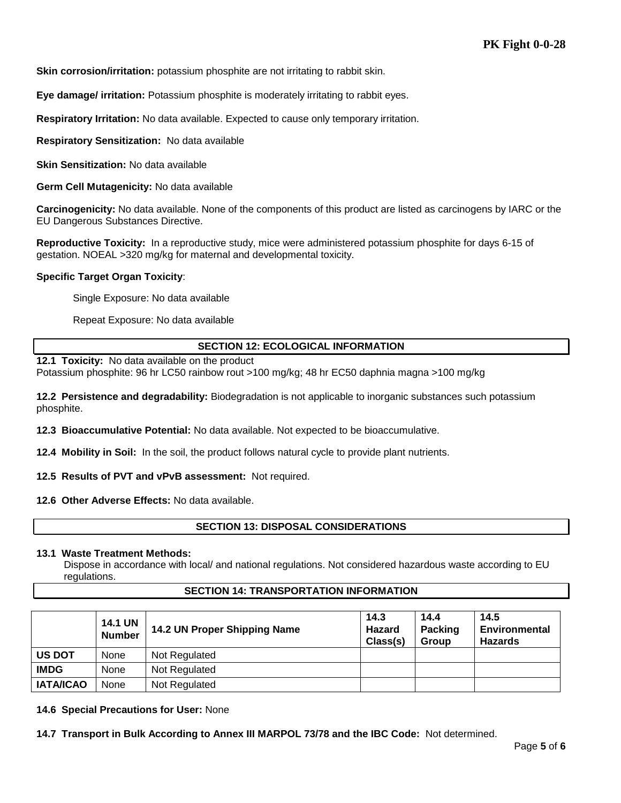**Skin corrosion/irritation:** potassium phosphite are not irritating to rabbit skin.

**Eye damage/ irritation:** Potassium phosphite is moderately irritating to rabbit eyes.

**Respiratory Irritation:** No data available. Expected to cause only temporary irritation.

**Respiratory Sensitization:** No data available

**Skin Sensitization:** No data available

**Germ Cell Mutagenicity:** No data available

**Carcinogenicity:** No data available. None of the components of this product are listed as carcinogens by IARC or the EU Dangerous Substances Directive.

**Reproductive Toxicity:** In a reproductive study, mice were administered potassium phosphite for days 6-15 of gestation. NOEAL >320 mg/kg for maternal and developmental toxicity.

#### **Specific Target Organ Toxicity**:

Single Exposure: No data available

Repeat Exposure: No data available

## **SECTION 12: ECOLOGICAL INFORMATION**

**12.1 Toxicity:** No data available on the product

Potassium phosphite: 96 hr LC50 rainbow rout >100 mg/kg; 48 hr EC50 daphnia magna >100 mg/kg

**12.2 Persistence and degradability:** Biodegradation is not applicable to inorganic substances such potassium phosphite.

**12.3 Bioaccumulative Potential:** No data available. Not expected to be bioaccumulative.

**12.4 Mobility in Soil:** In the soil, the product follows natural cycle to provide plant nutrients.

**12.5 Results of PVT and vPvB assessment:** Not required.

**12.6 Other Adverse Effects:** No data available.

## **SECTION 13: DISPOSAL CONSIDERATIONS**

#### **13.1 Waste Treatment Methods:**

Dispose in accordance with local/ and national regulations. Not considered hazardous waste according to EU regulations.

#### **SECTION 14: TRANSPORTATION INFORMATION**

|                  | <b>14.1 UN</b><br><b>Number</b> | 14.2 UN Proper Shipping Name | 14.3<br>Hazard<br>Class(s) | 14.4<br><b>Packing</b><br>Group | 14.5<br><b>Environmental</b><br><b>Hazards</b> |
|------------------|---------------------------------|------------------------------|----------------------------|---------------------------------|------------------------------------------------|
| <b>US DOT</b>    | None                            | Not Regulated                |                            |                                 |                                                |
| <b>IMDG</b>      | None                            | Not Regulated                |                            |                                 |                                                |
| <b>IATA/ICAO</b> | None                            | Not Regulated                |                            |                                 |                                                |

**14.6 Special Precautions for User:** None

**14.7 Transport in Bulk According to Annex III MARPOL 73/78 and the IBC Code:** Not determined.